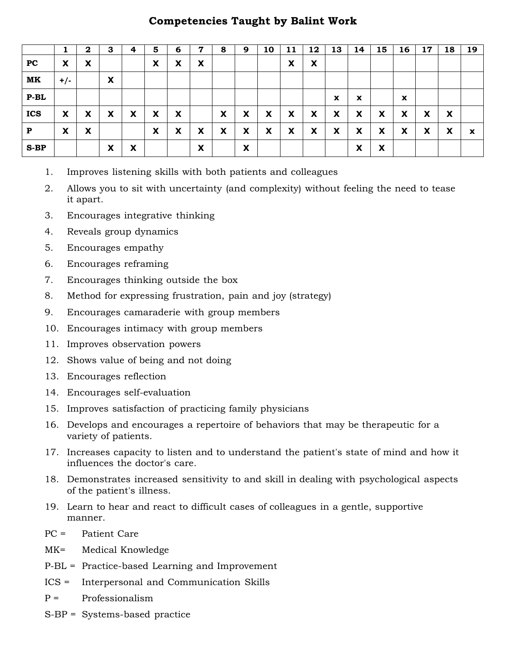## **Competencies Taught by Balint Work**

|              |       | $\mathbf 2$ | 3 | 4                                      | 5 | 6 | ,              | 8 | 9 | 10 | 11 | 12 | 13                        | 14                        | 15 | 16 | 17 | 18 | 19                        |
|--------------|-------|-------------|---|----------------------------------------|---|---|----------------|---|---|----|----|----|---------------------------|---------------------------|----|----|----|----|---------------------------|
| PC           | X     | X           |   |                                        | X | X | v<br>$\lambda$ |   |   |    | X  | X  |                           |                           |    |    |    |    |                           |
| MK           | $+/-$ |             | X |                                        |   |   |                |   |   |    |    |    |                           |                           |    |    |    |    |                           |
| $P-BL$       |       |             |   |                                        |   |   |                |   |   |    |    |    | $\boldsymbol{\mathsf{x}}$ | $\boldsymbol{\mathsf{x}}$ |    | X  |    |    |                           |
| <b>ICS</b>   | X     | X           | X | X                                      | X | X |                | X | X | X  | X  | X  | X                         | X                         | X  | X  | X  | X  |                           |
| $\mathbf{P}$ | X     | X           |   |                                        | X | X | X              | X | X | X  | X  | X  | X                         | X                         | X  | X  | X  | X  | $\boldsymbol{\mathsf{x}}$ |
| $S-BP$       |       |             | X | $\mathbf{v}$<br>$\boldsymbol{\lambda}$ |   |   | X              |   | X |    |    |    |                           | X                         | X  |    |    |    |                           |

- 1. Improves listening skills with both patients and colleagues
- 2. Allows you to sit with uncertainty (and complexity) without feeling the need to tease it apart.
- 3. Encourages integrative thinking
- 4. Reveals group dynamics
- 5. Encourages empathy
- 6. Encourages reframing
- 7. Encourages thinking outside the box
- 8. Method for expressing frustration, pain and joy (strategy)
- 9. Encourages camaraderie with group members
- 10. Encourages intimacy with group members
- 11. Improves observation powers
- 12. Shows value of being and not doing
- 13. Encourages reflection
- 14. Encourages self-evaluation
- 15. Improves satisfaction of practicing family physicians
- 16. Develops and encourages a repertoire of behaviors that may be therapeutic for a variety of patients.
- 17. Increases capacity to listen and to understand the patient's state of mind and how it influences the doctor's care.
- 18. Demonstrates increased sensitivity to and skill in dealing with psychological aspects of the patient's illness.
- 19. Learn to hear and react to difficult cases of colleagues in a gentle, supportive manner.
- PC = Patient Care
- MK= Medical Knowledge
- P-BL = Practice-based Learning and Improvement
- ICS = Interpersonal and Communication Skills
- $P =$  Professionalism
- S-BP = Systems-based practice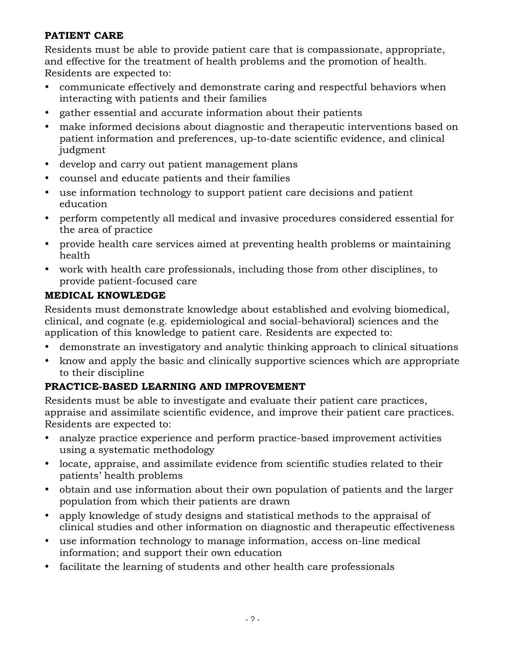**PATIENT CARE** Residents must be able to provide patient care that is compassionate, appropriate, and effective for the treatment of health problems and the promotion of health. Residents are expected to:

- communicate effectively and demonstrate caring and respectful behaviors when interacting with patients and their families
- gather essential and accurate information about their patients
- make informed decisions about diagnostic and therapeutic interventions based on patient information and preferences, up-to-date scientific evidence, and clinical judgment
- develop and carry out patient management plans
- counsel and educate patients and their families
- use information technology to support patient care decisions and patient education
- perform competently all medical and invasive procedures considered essential for the area of practice
- provide health care services aimed at preventing health problems or maintaining health
- work with health care professionals, including those from other disciplines, to provide patient-focused care

### **MEDICAL KNOWLEDGE**

**Media** knowledge and Residents must demonstrate knowledge about established and evolving biomedical, clinical, and cognate (e.g. epidemiological and social-behavioral) sciences and the application of this knowledge to patient care. Residents are expected to:

- demonstrate an investigatory and analytic thinking approach to clinical situations
- know and apply the basic and clinically supportive sciences which are appropriate to their discipline

**PRACTICE-BASED LEARNING AND IMPROVEMENT** Residents must be able to investigate and evaluate their patient care practices, appraise and assimilate scientific evidence, and improve their patient care practices. Residents are expected to:

- analyze practice experience and perform practice-based improvement activities using a systematic methodology
- locate, appraise, and assimilate evidence from scientific studies related to their patients' health problems
- obtain and use information about their own population of patients and the larger population from which their patients are drawn
- apply knowledge of study designs and statistical methods to the appraisal of clinical studies and other information on diagnostic and therapeutic effectiveness
- use information technology to manage information, access on-line medical information; and support their own education
- facilitate the learning of students and other health care professionals